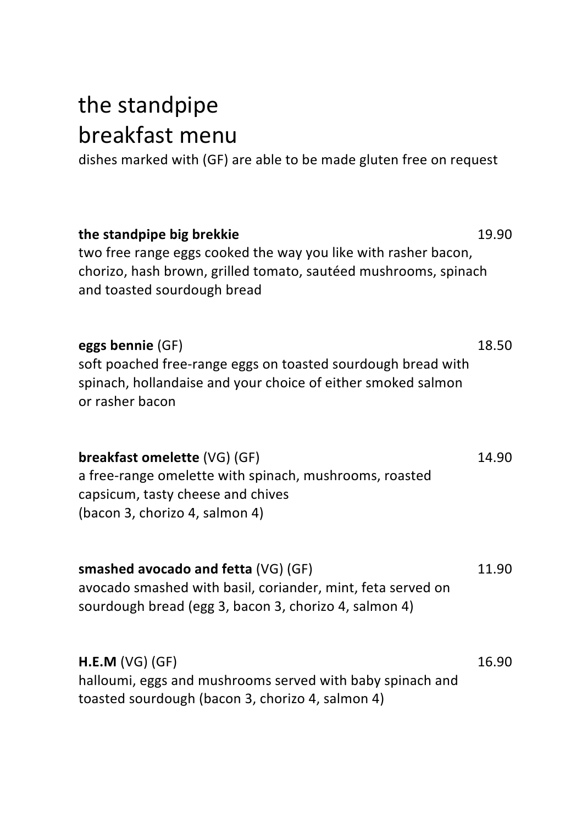## the standpipe breakfast menu

dishes marked with (GF) are able to be made gluten free on request

**the standpipe big brekkie** 19.90 two free range eggs cooked the way you like with rasher bacon, chorizo, hash brown, grilled tomato, sautéed mushrooms, spinach and toasted sourdough bread

**eggs bennie** (GF) 18.50 soft poached free-range eggs on toasted sourdough bread with spinach, hollandaise and your choice of either smoked salmon or rasher hacon

**breakfast omelette** (VG) (GF) **14.90** a free-range omelette with spinach, mushrooms, roasted capsicum, tasty cheese and chives (bacon 3, chorizo 4, salmon 4)

**smashed avocado and fetta** (VG) (GF) **11.90** avocado smashed with basil, coriander, mint, feta served on sourdough bread (egg 3, bacon 3, chorizo 4, salmon 4)

**H.E.M** (VG) (GF) 26.90 halloumi, eggs and mushrooms served with baby spinach and toasted sourdough (bacon 3, chorizo 4, salmon 4)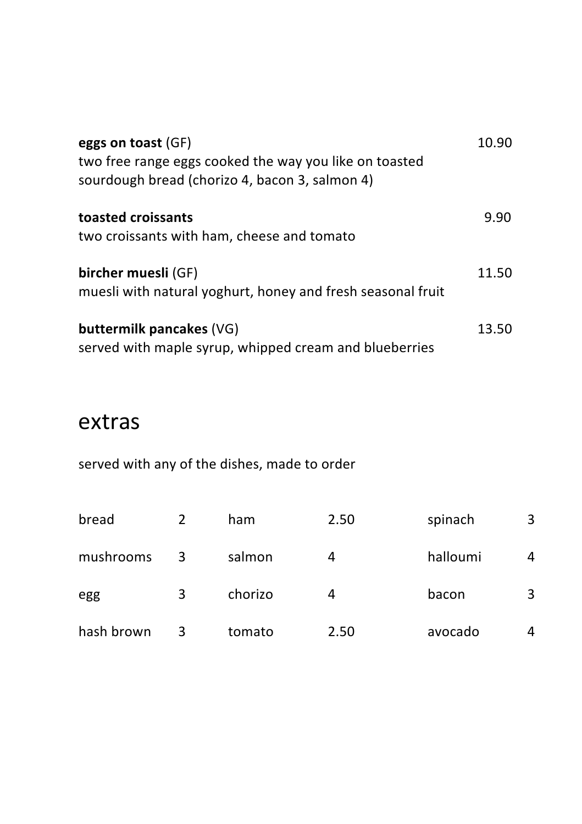| eggs on toast (GF)<br>two free range eggs cooked the way you like on toasted<br>sourdough bread (chorizo 4, bacon 3, salmon 4) | 10.90 |
|--------------------------------------------------------------------------------------------------------------------------------|-------|
| toasted croissants<br>two croissants with ham, cheese and tomato                                                               | 9.90  |
| bircher muesli (GF)<br>muesli with natural yoghurt, honey and fresh seasonal fruit                                             | 11.50 |
| buttermilk pancakes (VG)<br>served with maple syrup, whipped cream and blueberries                                             | 13.50 |

## extras

served with any of the dishes, made to order

| bread      |   | ham     | 2.50 | spinach  | 3 |
|------------|---|---------|------|----------|---|
| mushrooms  | 3 | salmon  | 4    | halloumi | 4 |
| egg        | 3 | chorizo | 4    | bacon    | 3 |
| hash brown |   | tomato  | 2.50 | avocado  | 4 |